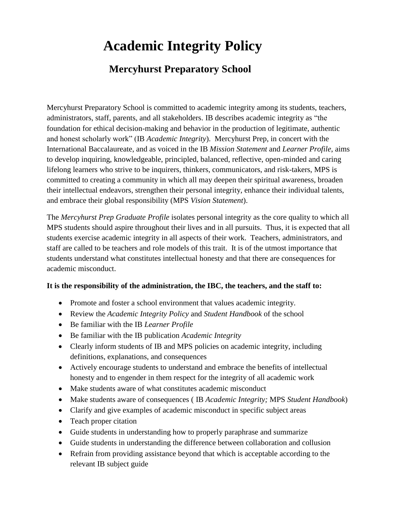# **Academic Integrity Policy**

## **Mercyhurst Preparatory School**

Mercyhurst Preparatory School is committed to academic integrity among its students, teachers, administrators, staff, parents, and all stakeholders. IB describes academic integrity as "the foundation for ethical decision-making and behavior in the production of legitimate, authentic and honest scholarly work" (IB *Academic Integrity*). Mercyhurst Prep, in concert with the International Baccalaureate, and as voiced in the IB *Mission Statement* and *Learner Profile*, aims to develop inquiring, knowledgeable, principled, balanced, reflective, open-minded and caring lifelong learners who strive to be inquirers, thinkers, communicators, and risk-takers, MPS is committed to creating a community in which all may deepen their spiritual awareness, broaden their intellectual endeavors, strengthen their personal integrity, enhance their individual talents, and embrace their global responsibility (MPS *Vision Statement*).

The *Mercyhurst Prep Graduate Profile* isolates personal integrity as the core quality to which all MPS students should aspire throughout their lives and in all pursuits. Thus, it is expected that all students exercise academic integrity in all aspects of their work. Teachers, administrators, and staff are called to be teachers and role models of this trait. It is of the utmost importance that students understand what constitutes intellectual honesty and that there are consequences for academic misconduct.

#### **It is the responsibility of the administration, the IBC, the teachers, and the staff to:**

- Promote and foster a school environment that values academic integrity.
- Review the *Academic Integrity Policy* and *Student Handbook* of the school
- Be familiar with the IB *Learner Profile*
- Be familiar with the IB publication *Academic Integrity*
- Clearly inform students of IB and MPS policies on academic integrity, including definitions, explanations, and consequences
- Actively encourage students to understand and embrace the benefits of intellectual honesty and to engender in them respect for the integrity of all academic work
- Make students aware of what constitutes academic misconduct
- Make students aware of consequences ( IB *Academic Integrity;* MPS *Student Handbook*)
- Clarify and give examples of academic misconduct in specific subject areas
- Teach proper citation
- Guide students in understanding how to properly paraphrase and summarize
- Guide students in understanding the difference between collaboration and collusion
- Refrain from providing assistance beyond that which is acceptable according to the relevant IB subject guide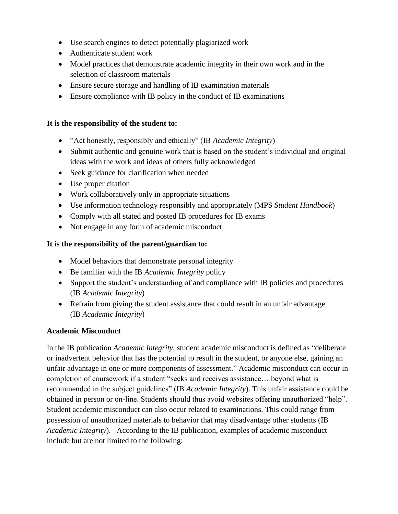- Use search engines to detect potentially plagiarized work
- Authenticate student work
- Model practices that demonstrate academic integrity in their own work and in the selection of classroom materials
- Ensure secure storage and handling of IB examination materials
- Ensure compliance with IB policy in the conduct of IB examinations

#### **It is the responsibility of the student to:**

- "Act honestly, responsibly and ethically" (IB *Academic Integrity*)
- Submit authentic and genuine work that is based on the student's individual and original ideas with the work and ideas of others fully acknowledged
- Seek guidance for clarification when needed
- Use proper citation
- Work collaboratively only in appropriate situations
- Use information technology responsibly and appropriately (MPS *Student Handbook*)
- Comply with all stated and posted IB procedures for IB exams
- Not engage in any form of academic misconduct

#### **It is the responsibility of the parent/guardian to:**

- Model behaviors that demonstrate personal integrity
- Be familiar with the IB *Academic Integrity* policy
- Support the student's understanding of and compliance with IB policies and procedures (IB *Academic Integrity*)
- Refrain from giving the student assistance that could result in an unfair advantage (IB *Academic Integrity*)

#### **Academic Misconduct**

In the IB publication *Academic Integrity*, student academic misconduct is defined as "deliberate or inadvertent behavior that has the potential to result in the student, or anyone else, gaining an unfair advantage in one or more components of assessment." Academic misconduct can occur in completion of coursework if a student "seeks and receives assistance… beyond what is recommended in the subject guidelines" (IB *Academic Integrity*). This unfair assistance could be obtained in person or on-line. Students should thus avoid websites offering unauthorized "help". Student academic misconduct can also occur related to examinations. This could range from possession of unauthorized materials to behavior that may disadvantage other students (IB *Academic Integrity*). According to the IB publication, examples of academic misconduct include but are not limited to the following: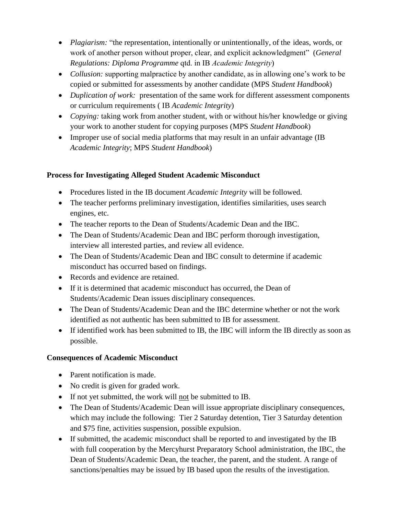- *Plagiarism:* "the representation, intentionally or unintentionally, of the ideas, words, or work of another person without proper, clear, and explicit acknowledgment" (*General Regulations: Diploma Programme* qtd. in IB *Academic Integrity*)
- *Collusion:* supporting malpractice by another candidate, as in allowing one's work to be copied or submitted for assessments by another candidate (MPS *Student Handbook*)
- *Duplication of work:* presentation of the same work for different assessment components or curriculum requirements ( IB *Academic Integrity*)
- *Copying:* taking work from another student, with or without his/her knowledge or giving your work to another student for copying purposes (MPS *Student Handbook*)
- Improper use of social media platforms that may result in an unfair advantage (IB *Academic Integrity*; MPS *Student Handbook*)

### **Process for Investigating Alleged Student Academic Misconduct**

- Procedures listed in the IB document *Academic Integrity* will be followed.
- The teacher performs preliminary investigation, identifies similarities, uses search engines, etc.
- The teacher reports to the Dean of Students/Academic Dean and the IBC.
- The Dean of Students/Academic Dean and IBC perform thorough investigation, interview all interested parties, and review all evidence.
- The Dean of Students/Academic Dean and IBC consult to determine if academic misconduct has occurred based on findings.
- Records and evidence are retained.
- If it is determined that academic misconduct has occurred, the Dean of Students/Academic Dean issues disciplinary consequences.
- The Dean of Students/Academic Dean and the IBC determine whether or not the work identified as not authentic has been submitted to IB for assessment.
- If identified work has been submitted to IB, the IBC will inform the IB directly as soon as possible.

#### **Consequences of Academic Misconduct**

- Parent notification is made.
- No credit is given for graded work.
- If not yet submitted, the work will not be submitted to IB.
- The Dean of Students/Academic Dean will issue appropriate disciplinary consequences, which may include the following: Tier 2 Saturday detention, Tier 3 Saturday detention and \$75 fine, activities suspension, possible expulsion.
- If submitted, the academic misconduct shall be reported to and investigated by the IB with full cooperation by the Mercyhurst Preparatory School administration, the IBC, the Dean of Students/Academic Dean, the teacher, the parent, and the student. A range of sanctions/penalties may be issued by IB based upon the results of the investigation.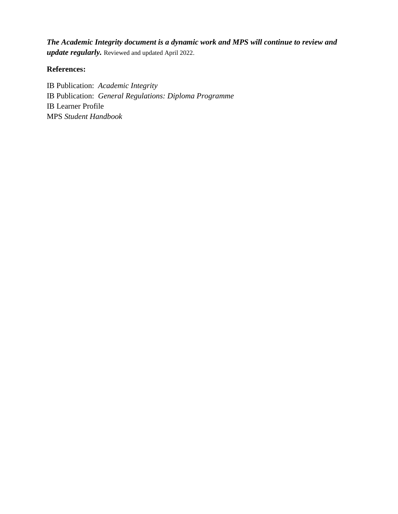*The Academic Integrity document is a dynamic work and MPS will continue to review and update regularly.* Reviewed and updated April 2022.

#### **References:**

IB Publication: *Academic Integrity* IB Publication: *General Regulations: Diploma Programme*  IB Learner Profile MPS *Student Handbook*